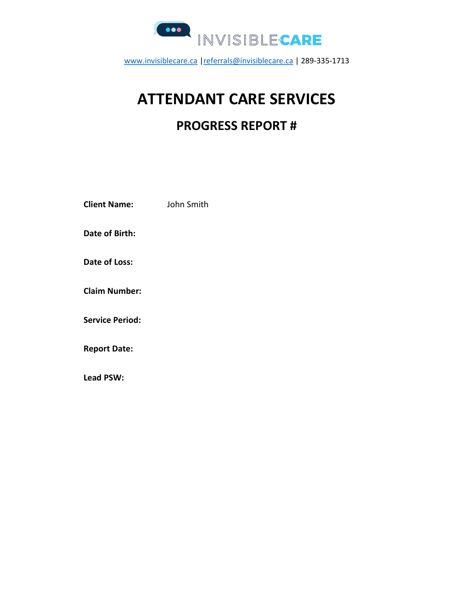

# ATTENDANT CARE SERVICES

## PROGRESS REPORT #

| <b>Client Name:</b>    | John Smith |
|------------------------|------------|
| Date of Birth:         |            |
| Date of Loss:          |            |
| <b>Claim Number:</b>   |            |
| <b>Service Period:</b> |            |
| <b>Report Date:</b>    |            |
| <b>Lead PSW:</b>       |            |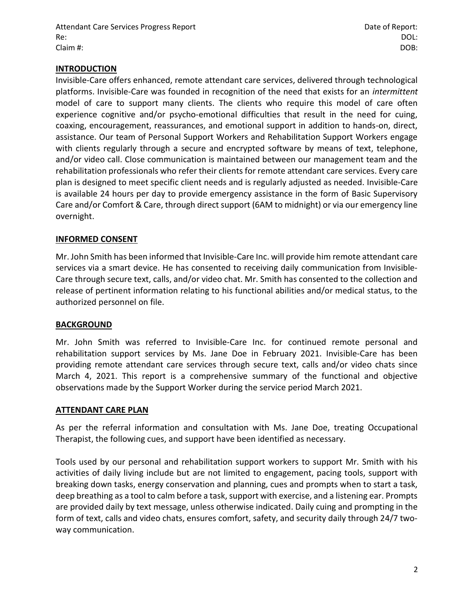Attendant Care Services Progress Report **Date of Report:** Attendant Care Services Progress Report: Re: DOL: Claim #: DOB:

#### **INTRODUCTION**

Invisible-Care offers enhanced, remote attendant care services, delivered through technological platforms. Invisible-Care was founded in recognition of the need that exists for an *intermittent* model of care to support many clients. The clients who require this model of care often experience cognitive and/or psycho-emotional difficulties that result in the need for cuing, coaxing, encouragement, reassurances, and emotional support in addition to hands-on, direct, assistance. Our team of Personal Support Workers and Rehabilitation Support Workers engage with clients regularly through a secure and encrypted software by means of text, telephone, and/or video call. Close communication is maintained between our management team and the rehabilitation professionals who refer their clients for remote attendant care services. Every care plan is designed to meet specific client needs and is regularly adjusted as needed. Invisible-Care is available 24 hours per day to provide emergency assistance in the form of Basic Supervisory Care and/or Comfort & Care, through direct support (6AM to midnight) or via our emergency line overnight.  

#### INFORMED CONSENT

Mr. John Smith has been informed that Invisible-Care Inc. will provide him remote attendant care services via a smart device. He has consented to receiving daily communication from Invisible-Care through secure text, calls, and/or video chat. Mr. Smith has consented to the collection and release of pertinent information relating to his functional abilities and/or medical status, to the authorized personnel on file.

#### BACKGROUND

Mr. John Smith was referred to Invisible-Care Inc. for continued remote personal and rehabilitation support services by Ms. Jane Doe in February 2021. Invisible-Care has been providing remote attendant care services through secure text, calls and/or video chats since March 4, 2021. This report is a comprehensive summary of the functional and objective observations made by the Support Worker during the service period March 2021.

#### ATTENDANT CARE PLAN

As per the referral information and consultation with Ms. Jane Doe, treating Occupational Therapist, the following cues, and support have been identified as necessary.

Tools used by our personal and rehabilitation support workers to support Mr. Smith with his activities of daily living include but are not limited to engagement, pacing tools, support with breaking down tasks, energy conservation and planning, cues and prompts when to start a task, deep breathing as a tool to calm before a task, support with exercise, and a listening ear. Prompts are provided daily by text message, unless otherwise indicated. Daily cuing and prompting in the form of text, calls and video chats, ensures comfort, safety, and security daily through 24/7 twoway communication.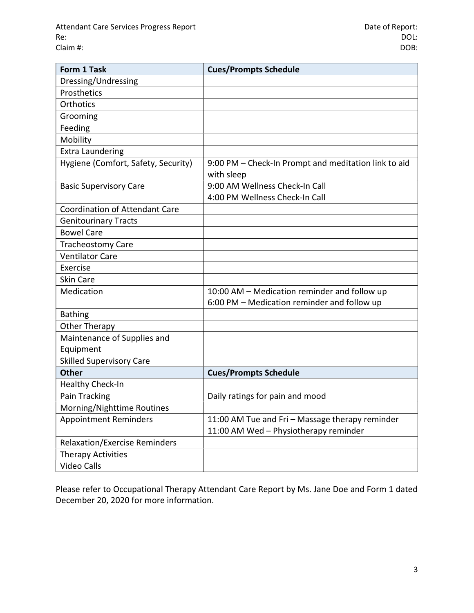| Form 1 Task                           | <b>Cues/Prompts Schedule</b>                         |
|---------------------------------------|------------------------------------------------------|
| Dressing/Undressing                   |                                                      |
| Prosthetics                           |                                                      |
| Orthotics                             |                                                      |
| Grooming                              |                                                      |
| Feeding                               |                                                      |
| Mobility                              |                                                      |
| <b>Extra Laundering</b>               |                                                      |
| Hygiene (Comfort, Safety, Security)   | 9:00 PM - Check-In Prompt and meditation link to aid |
|                                       | with sleep                                           |
| <b>Basic Supervisory Care</b>         | 9:00 AM Wellness Check-In Call                       |
|                                       | 4:00 PM Wellness Check-In Call                       |
| <b>Coordination of Attendant Care</b> |                                                      |
| <b>Genitourinary Tracts</b>           |                                                      |
| <b>Bowel Care</b>                     |                                                      |
| <b>Tracheostomy Care</b>              |                                                      |
| <b>Ventilator Care</b>                |                                                      |
| Exercise                              |                                                      |
| <b>Skin Care</b>                      |                                                      |
| Medication                            | 10:00 AM - Medication reminder and follow up         |
|                                       | 6:00 PM - Medication reminder and follow up          |
| <b>Bathing</b>                        |                                                      |
| <b>Other Therapy</b>                  |                                                      |
| Maintenance of Supplies and           |                                                      |
| Equipment                             |                                                      |
| <b>Skilled Supervisory Care</b>       |                                                      |
| <b>Other</b>                          | <b>Cues/Prompts Schedule</b>                         |
| <b>Healthy Check-In</b>               |                                                      |
| Pain Tracking                         | Daily ratings for pain and mood                      |
| Morning/Nighttime Routines            |                                                      |
| <b>Appointment Reminders</b>          | 11:00 AM Tue and Fri - Massage therapy reminder      |
|                                       | 11:00 AM Wed - Physiotherapy reminder                |
| <b>Relaxation/Exercise Reminders</b>  |                                                      |
| <b>Therapy Activities</b>             |                                                      |
| <b>Video Calls</b>                    |                                                      |

Please refer to Occupational Therapy Attendant Care Report by Ms. Jane Doe and Form 1 dated December 20, 2020 for more information.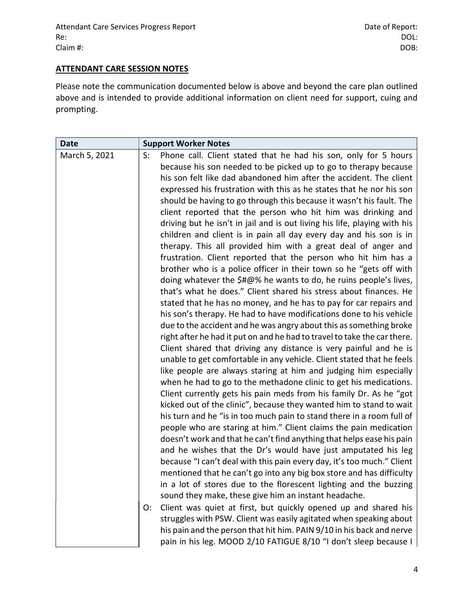### ATTENDANT CARE SESSION NOTES

Please note the communication documented below is above and beyond the care plan outlined above and is intended to provide additional information on client need for support, cuing and prompting.

| <b>Date</b>   | <b>Support Worker Notes</b>                                                                                                                                                                                                                                                                                                                                                                                                                                                                                                                                                                                                                                                                                                                                                                                                                                                                                                                                                                                                                                                                                                                                                                                                                                                                                                                                                                                                                                                                                                                                                                                                                                                                                                                                                                                                                                                                                                                                                                                                                                                                                                                                                               |
|---------------|-------------------------------------------------------------------------------------------------------------------------------------------------------------------------------------------------------------------------------------------------------------------------------------------------------------------------------------------------------------------------------------------------------------------------------------------------------------------------------------------------------------------------------------------------------------------------------------------------------------------------------------------------------------------------------------------------------------------------------------------------------------------------------------------------------------------------------------------------------------------------------------------------------------------------------------------------------------------------------------------------------------------------------------------------------------------------------------------------------------------------------------------------------------------------------------------------------------------------------------------------------------------------------------------------------------------------------------------------------------------------------------------------------------------------------------------------------------------------------------------------------------------------------------------------------------------------------------------------------------------------------------------------------------------------------------------------------------------------------------------------------------------------------------------------------------------------------------------------------------------------------------------------------------------------------------------------------------------------------------------------------------------------------------------------------------------------------------------------------------------------------------------------------------------------------------------|
| March 5, 2021 | Phone call. Client stated that he had his son, only for 5 hours<br>$S$ :<br>because his son needed to be picked up to go to therapy because<br>his son felt like dad abandoned him after the accident. The client<br>expressed his frustration with this as he states that he nor his son<br>should be having to go through this because it wasn't his fault. The<br>client reported that the person who hit him was drinking and<br>driving but he isn't in jail and is out living his life, playing with his<br>children and client is in pain all day every day and his son is in<br>therapy. This all provided him with a great deal of anger and<br>frustration. Client reported that the person who hit him has a<br>brother who is a police officer in their town so he "gets off with<br>doing whatever the \$#@% he wants to do, he ruins people's lives,<br>that's what he does." Client shared his stress about finances. He<br>stated that he has no money, and he has to pay for car repairs and<br>his son's therapy. He had to have modifications done to his vehicle<br>due to the accident and he was angry about this as something broke<br>right after he had it put on and he had to travel to take the car there.<br>Client shared that driving any distance is very painful and he is<br>unable to get comfortable in any vehicle. Client stated that he feels<br>like people are always staring at him and judging him especially<br>when he had to go to the methadone clinic to get his medications.<br>Client currently gets his pain meds from his family Dr. As he "got<br>kicked out of the clinic", because they wanted him to stand to wait<br>his turn and he "is in too much pain to stand there in a room full of<br>people who are staring at him." Client claims the pain medication<br>doesn't work and that he can't find anything that helps ease his pain<br>and he wishes that the Dr's would have just amputated his leg<br>because "I can't deal with this pain every day, it's too much." Client<br>mentioned that he can't go into any big box store and has difficulty<br>in a lot of stores due to the florescent lighting and the buzzing |
|               | sound they make, these give him an instant headache.<br>Client was quiet at first, but quickly opened up and shared his<br>O:                                                                                                                                                                                                                                                                                                                                                                                                                                                                                                                                                                                                                                                                                                                                                                                                                                                                                                                                                                                                                                                                                                                                                                                                                                                                                                                                                                                                                                                                                                                                                                                                                                                                                                                                                                                                                                                                                                                                                                                                                                                             |
|               | struggles with PSW. Client was easily agitated when speaking about<br>his pain and the person that hit him. PAIN 9/10 in his back and nerve                                                                                                                                                                                                                                                                                                                                                                                                                                                                                                                                                                                                                                                                                                                                                                                                                                                                                                                                                                                                                                                                                                                                                                                                                                                                                                                                                                                                                                                                                                                                                                                                                                                                                                                                                                                                                                                                                                                                                                                                                                               |

pain in his leg. MOOD 2/10 FATIGUE 8/10 "I don't sleep because I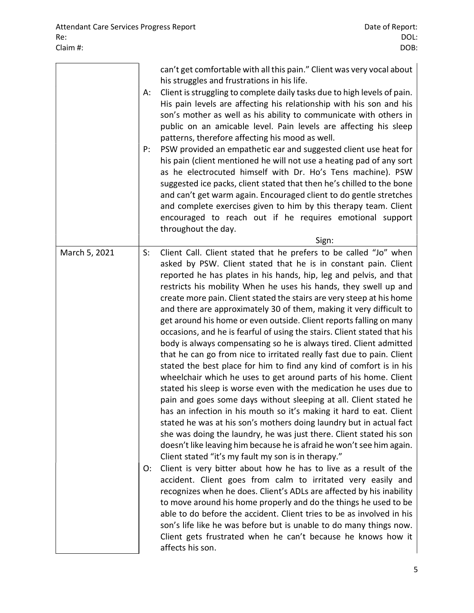|               | А:<br>P: | can't get comfortable with all this pain." Client was very vocal about<br>his struggles and frustrations in his life.<br>Client is struggling to complete daily tasks due to high levels of pain.<br>His pain levels are affecting his relationship with his son and his<br>son's mother as well as his ability to communicate with others in<br>public on an amicable level. Pain levels are affecting his sleep<br>patterns, therefore affecting his mood as well.<br>PSW provided an empathetic ear and suggested client use heat for<br>his pain (client mentioned he will not use a heating pad of any sort<br>as he electrocuted himself with Dr. Ho's Tens machine). PSW<br>suggested ice packs, client stated that then he's chilled to the bone<br>and can't get warm again. Encouraged client to do gentle stretches<br>and complete exercises given to him by this therapy team. Client<br>encouraged to reach out if he requires emotional support<br>throughout the day.                                                                                                                                                                                                                                                                                                                                                                                                                                                                                                                                                                                                                                                                                                                                                                                                                                                                                                          |
|---------------|----------|------------------------------------------------------------------------------------------------------------------------------------------------------------------------------------------------------------------------------------------------------------------------------------------------------------------------------------------------------------------------------------------------------------------------------------------------------------------------------------------------------------------------------------------------------------------------------------------------------------------------------------------------------------------------------------------------------------------------------------------------------------------------------------------------------------------------------------------------------------------------------------------------------------------------------------------------------------------------------------------------------------------------------------------------------------------------------------------------------------------------------------------------------------------------------------------------------------------------------------------------------------------------------------------------------------------------------------------------------------------------------------------------------------------------------------------------------------------------------------------------------------------------------------------------------------------------------------------------------------------------------------------------------------------------------------------------------------------------------------------------------------------------------------------------------------------------------------------------------------------------------------------------|
|               |          | Sign:                                                                                                                                                                                                                                                                                                                                                                                                                                                                                                                                                                                                                                                                                                                                                                                                                                                                                                                                                                                                                                                                                                                                                                                                                                                                                                                                                                                                                                                                                                                                                                                                                                                                                                                                                                                                                                                                                          |
| March 5, 2021 | S:<br>O: | Client Call. Client stated that he prefers to be called "Jo" when<br>asked by PSW. Client stated that he is in constant pain. Client<br>reported he has plates in his hands, hip, leg and pelvis, and that<br>restricts his mobility When he uses his hands, they swell up and<br>create more pain. Client stated the stairs are very steep at his home<br>and there are approximately 30 of them, making it very difficult to<br>get around his home or even outside. Client reports falling on many<br>occasions, and he is fearful of using the stairs. Client stated that his<br>body is always compensating so he is always tired. Client admitted<br>that he can go from nice to irritated really fast due to pain. Client<br>stated the best place for him to find any kind of comfort is in his<br>wheelchair which he uses to get around parts of his home. Client<br>stated his sleep is worse even with the medication he uses due to<br>pain and goes some days without sleeping at all. Client stated he<br>has an infection in his mouth so it's making it hard to eat. Client<br>stated he was at his son's mothers doing laundry but in actual fact<br>she was doing the laundry, he was just there. Client stated his son<br>doesn't like leaving him because he is afraid he won't see him again.<br>Client stated "it's my fault my son is in therapy."<br>Client is very bitter about how he has to live as a result of the<br>accident. Client goes from calm to irritated very easily and<br>recognizes when he does. Client's ADLs are affected by his inability<br>to move around his home properly and do the things he used to be<br>able to do before the accident. Client tries to be as involved in his<br>son's life like he was before but is unable to do many things now.<br>Client gets frustrated when he can't because he knows how it<br>affects his son. |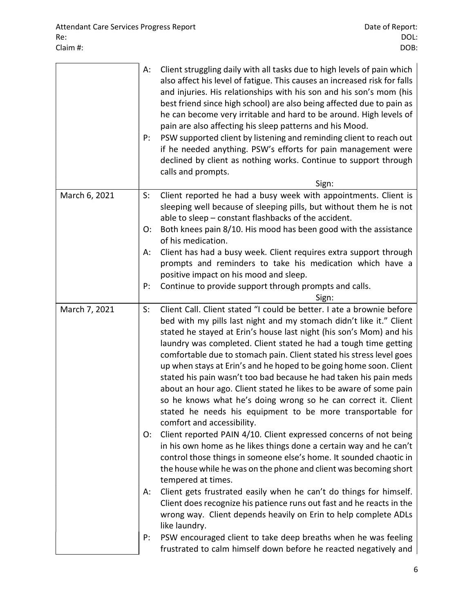|               | A:<br>P:    | Client struggling daily with all tasks due to high levels of pain which<br>also affect his level of fatigue. This causes an increased risk for falls<br>and injuries. His relationships with his son and his son's mom (his<br>best friend since high school) are also being affected due to pain as<br>he can become very irritable and hard to be around. High levels of<br>pain are also affecting his sleep patterns and his Mood.<br>PSW supported client by listening and reminding client to reach out<br>if he needed anything. PSW's efforts for pain management were<br>declined by client as nothing works. Continue to support through<br>calls and prompts.<br>Sign:                                                                                                                                                                                                                                                                                                                                                    |
|---------------|-------------|--------------------------------------------------------------------------------------------------------------------------------------------------------------------------------------------------------------------------------------------------------------------------------------------------------------------------------------------------------------------------------------------------------------------------------------------------------------------------------------------------------------------------------------------------------------------------------------------------------------------------------------------------------------------------------------------------------------------------------------------------------------------------------------------------------------------------------------------------------------------------------------------------------------------------------------------------------------------------------------------------------------------------------------|
| March 6, 2021 | $S$ :       | Client reported he had a busy week with appointments. Client is                                                                                                                                                                                                                                                                                                                                                                                                                                                                                                                                                                                                                                                                                                                                                                                                                                                                                                                                                                      |
|               |             | sleeping well because of sleeping pills, but without them he is not<br>able to sleep – constant flashbacks of the accident.                                                                                                                                                                                                                                                                                                                                                                                                                                                                                                                                                                                                                                                                                                                                                                                                                                                                                                          |
|               | O:          | Both knees pain 8/10. His mood has been good with the assistance<br>of his medication.                                                                                                                                                                                                                                                                                                                                                                                                                                                                                                                                                                                                                                                                                                                                                                                                                                                                                                                                               |
|               | А:          | Client has had a busy week. Client requires extra support through                                                                                                                                                                                                                                                                                                                                                                                                                                                                                                                                                                                                                                                                                                                                                                                                                                                                                                                                                                    |
|               |             | prompts and reminders to take his medication which have a                                                                                                                                                                                                                                                                                                                                                                                                                                                                                                                                                                                                                                                                                                                                                                                                                                                                                                                                                                            |
|               |             | positive impact on his mood and sleep.                                                                                                                                                                                                                                                                                                                                                                                                                                                                                                                                                                                                                                                                                                                                                                                                                                                                                                                                                                                               |
|               | P:          | Continue to provide support through prompts and calls.                                                                                                                                                                                                                                                                                                                                                                                                                                                                                                                                                                                                                                                                                                                                                                                                                                                                                                                                                                               |
|               |             | Sign:                                                                                                                                                                                                                                                                                                                                                                                                                                                                                                                                                                                                                                                                                                                                                                                                                                                                                                                                                                                                                                |
| March 7, 2021 | $S$ :<br>O: | Client Call. Client stated "I could be better. I ate a brownie before<br>bed with my pills last night and my stomach didn't like it." Client<br>stated he stayed at Erin's house last night (his son's Mom) and his<br>laundry was completed. Client stated he had a tough time getting<br>comfortable due to stomach pain. Client stated his stress level goes<br>up when stays at Erin's and he hoped to be going home soon. Client<br>stated his pain wasn't too bad because he had taken his pain meds<br>about an hour ago. Client stated he likes to be aware of some pain<br>so he knows what he's doing wrong so he can correct it. Client<br>stated he needs his equipment to be more transportable for<br>comfort and accessibility.<br>Client reported PAIN 4/10. Client expressed concerns of not being<br>in his own home as he likes things done a certain way and he can't<br>control those things in someone else's home. It sounded chaotic in<br>the house while he was on the phone and client was becoming short |
|               | A:<br>P:    | tempered at times.<br>Client gets frustrated easily when he can't do things for himself.<br>Client does recognize his patience runs out fast and he reacts in the<br>wrong way. Client depends heavily on Erin to help complete ADLs<br>like laundry.<br>PSW encouraged client to take deep breaths when he was feeling<br>frustrated to calm himself down before he reacted negatively and                                                                                                                                                                                                                                                                                                                                                                                                                                                                                                                                                                                                                                          |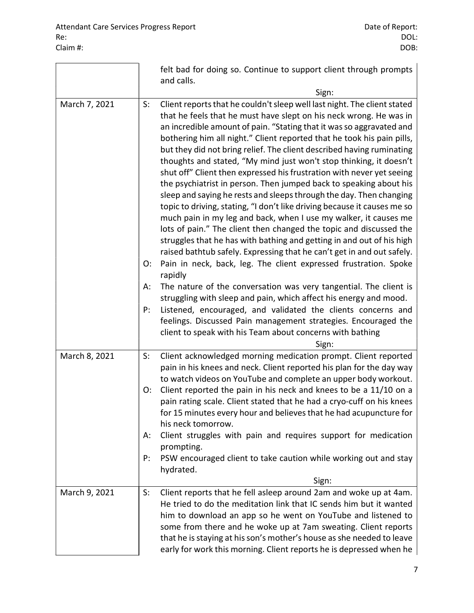|               | felt bad for doing so. Continue to support client through prompts<br>and calls.                                                                                                                                                                                                                                                                                                                                                                                                                                                                                                                                                                                                         |
|---------------|-----------------------------------------------------------------------------------------------------------------------------------------------------------------------------------------------------------------------------------------------------------------------------------------------------------------------------------------------------------------------------------------------------------------------------------------------------------------------------------------------------------------------------------------------------------------------------------------------------------------------------------------------------------------------------------------|
|               |                                                                                                                                                                                                                                                                                                                                                                                                                                                                                                                                                                                                                                                                                         |
| March 7, 2021 | Sign:<br>Client reports that he couldn't sleep well last night. The client stated<br>$S$ :<br>that he feels that he must have slept on his neck wrong. He was in<br>an incredible amount of pain. "Stating that it was so aggravated and<br>bothering him all night." Client reported that he took his pain pills,<br>but they did not bring relief. The client described having ruminating<br>thoughts and stated, "My mind just won't stop thinking, it doesn't<br>shut off" Client then expressed his frustration with never yet seeing<br>the psychiatrist in person. Then jumped back to speaking about his<br>sleep and saying he rests and sleeps through the day. Then changing |
|               | topic to driving, stating, "I don't like driving because it causes me so<br>much pain in my leg and back, when I use my walker, it causes me<br>lots of pain." The client then changed the topic and discussed the<br>struggles that he has with bathing and getting in and out of his high<br>raised bathtub safely. Expressing that he can't get in and out safely.<br>Pain in neck, back, leg. The client expressed frustration. Spoke<br>O:<br>rapidly                                                                                                                                                                                                                              |
|               | The nature of the conversation was very tangential. The client is<br>А:<br>struggling with sleep and pain, which affect his energy and mood.<br>Listened, encouraged, and validated the clients concerns and<br>P:                                                                                                                                                                                                                                                                                                                                                                                                                                                                      |
|               | feelings. Discussed Pain management strategies. Encouraged the<br>client to speak with his Team about concerns with bathing<br>Sign:                                                                                                                                                                                                                                                                                                                                                                                                                                                                                                                                                    |
| March 8, 2021 | Client acknowledged morning medication prompt. Client reported<br>$S$ :<br>pain in his knees and neck. Client reported his plan for the day way<br>to watch videos on YouTube and complete an upper body workout.                                                                                                                                                                                                                                                                                                                                                                                                                                                                       |
|               | Client reported the pain in his neck and knees to be a 11/10 on a<br>O:<br>pain rating scale. Client stated that he had a cryo-cuff on his knees<br>for 15 minutes every hour and believes that he had acupuncture for<br>his neck tomorrow.                                                                                                                                                                                                                                                                                                                                                                                                                                            |
|               | Client struggles with pain and requires support for medication<br>А:<br>prompting.                                                                                                                                                                                                                                                                                                                                                                                                                                                                                                                                                                                                      |
|               | PSW encouraged client to take caution while working out and stay<br>P:<br>hydrated.                                                                                                                                                                                                                                                                                                                                                                                                                                                                                                                                                                                                     |
|               | Sign:                                                                                                                                                                                                                                                                                                                                                                                                                                                                                                                                                                                                                                                                                   |
| March 9, 2021 | Client reports that he fell asleep around 2am and woke up at 4am.<br>$S$ :<br>He tried to do the meditation link that IC sends him but it wanted<br>him to download an app so he went on YouTube and listened to<br>some from there and he woke up at 7am sweating. Client reports<br>that he is staying at his son's mother's house as she needed to leave<br>early for work this morning. Client reports he is depressed when he                                                                                                                                                                                                                                                      |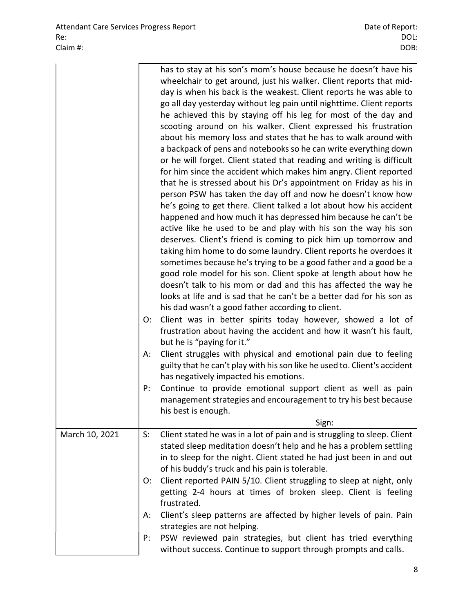|                |       | has to stay at his son's mom's house because he doesn't have his<br>wheelchair to get around, just his walker. Client reports that mid-<br>day is when his back is the weakest. Client reports he was able to<br>go all day yesterday without leg pain until nighttime. Client reports<br>he achieved this by staying off his leg for most of the day and<br>scooting around on his walker. Client expressed his frustration<br>about his memory loss and states that he has to walk around with<br>a backpack of pens and notebooks so he can write everything down<br>or he will forget. Client stated that reading and writing is difficult<br>for him since the accident which makes him angry. Client reported<br>that he is stressed about his Dr's appointment on Friday as his in<br>person PSW has taken the day off and now he doesn't know how<br>he's going to get there. Client talked a lot about how his accident<br>happened and how much it has depressed him because he can't be<br>active like he used to be and play with his son the way his son<br>deserves. Client's friend is coming to pick him up tomorrow and<br>taking him home to do some laundry. Client reports he overdoes it<br>sometimes because he's trying to be a good father and a good be a<br>good role model for his son. Client spoke at length about how he<br>doesn't talk to his mom or dad and this has affected the way he<br>looks at life and is sad that he can't be a better dad for his son as<br>his dad wasn't a good father according to client. |
|----------------|-------|---------------------------------------------------------------------------------------------------------------------------------------------------------------------------------------------------------------------------------------------------------------------------------------------------------------------------------------------------------------------------------------------------------------------------------------------------------------------------------------------------------------------------------------------------------------------------------------------------------------------------------------------------------------------------------------------------------------------------------------------------------------------------------------------------------------------------------------------------------------------------------------------------------------------------------------------------------------------------------------------------------------------------------------------------------------------------------------------------------------------------------------------------------------------------------------------------------------------------------------------------------------------------------------------------------------------------------------------------------------------------------------------------------------------------------------------------------------------------------------------------------------------------------------------------------|
|                | O:    | Client was in better spirits today however, showed a lot of<br>frustration about having the accident and how it wasn't his fault,<br>but he is "paying for it."                                                                                                                                                                                                                                                                                                                                                                                                                                                                                                                                                                                                                                                                                                                                                                                                                                                                                                                                                                                                                                                                                                                                                                                                                                                                                                                                                                                         |
|                | А:    | Client struggles with physical and emotional pain due to feeling<br>guilty that he can't play with his son like he used to. Client's accident<br>has negatively impacted his emotions.                                                                                                                                                                                                                                                                                                                                                                                                                                                                                                                                                                                                                                                                                                                                                                                                                                                                                                                                                                                                                                                                                                                                                                                                                                                                                                                                                                  |
|                | P:    | Continue to provide emotional support client as well as pain<br>management strategies and encouragement to try his best because<br>his best is enough.                                                                                                                                                                                                                                                                                                                                                                                                                                                                                                                                                                                                                                                                                                                                                                                                                                                                                                                                                                                                                                                                                                                                                                                                                                                                                                                                                                                                  |
|                |       | Sign:                                                                                                                                                                                                                                                                                                                                                                                                                                                                                                                                                                                                                                                                                                                                                                                                                                                                                                                                                                                                                                                                                                                                                                                                                                                                                                                                                                                                                                                                                                                                                   |
| March 10, 2021 | $S$ : | Client stated he was in a lot of pain and is struggling to sleep. Client<br>stated sleep meditation doesn't help and he has a problem settling<br>in to sleep for the night. Client stated he had just been in and out<br>of his buddy's truck and his pain is tolerable.                                                                                                                                                                                                                                                                                                                                                                                                                                                                                                                                                                                                                                                                                                                                                                                                                                                                                                                                                                                                                                                                                                                                                                                                                                                                               |
|                | O:    | Client reported PAIN 5/10. Client struggling to sleep at night, only<br>getting 2-4 hours at times of broken sleep. Client is feeling<br>frustrated.                                                                                                                                                                                                                                                                                                                                                                                                                                                                                                                                                                                                                                                                                                                                                                                                                                                                                                                                                                                                                                                                                                                                                                                                                                                                                                                                                                                                    |
|                | А:    | Client's sleep patterns are affected by higher levels of pain. Pain<br>strategies are not helping.                                                                                                                                                                                                                                                                                                                                                                                                                                                                                                                                                                                                                                                                                                                                                                                                                                                                                                                                                                                                                                                                                                                                                                                                                                                                                                                                                                                                                                                      |
|                | P:    | PSW reviewed pain strategies, but client has tried everything                                                                                                                                                                                                                                                                                                                                                                                                                                                                                                                                                                                                                                                                                                                                                                                                                                                                                                                                                                                                                                                                                                                                                                                                                                                                                                                                                                                                                                                                                           |

without success. Continue to support through prompts and calls.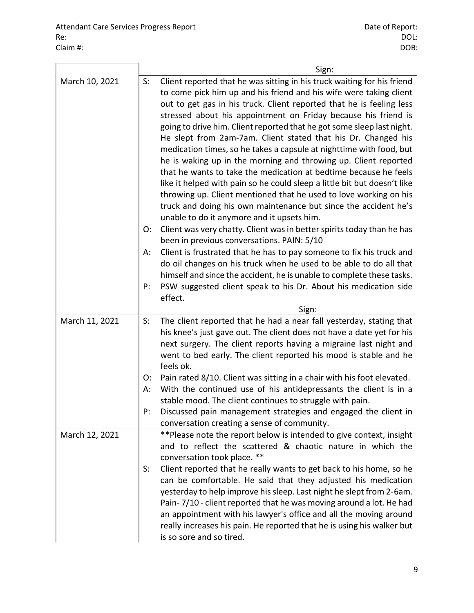|                | Sign:                                                                                                                                                                                                                                                                                                                                                                                                                                                                                                                                                                                                                                                                                                                                                                                                                                                                                                                                                                                                                                                                                                                                                                                                                                                                                                                                                                      |
|----------------|----------------------------------------------------------------------------------------------------------------------------------------------------------------------------------------------------------------------------------------------------------------------------------------------------------------------------------------------------------------------------------------------------------------------------------------------------------------------------------------------------------------------------------------------------------------------------------------------------------------------------------------------------------------------------------------------------------------------------------------------------------------------------------------------------------------------------------------------------------------------------------------------------------------------------------------------------------------------------------------------------------------------------------------------------------------------------------------------------------------------------------------------------------------------------------------------------------------------------------------------------------------------------------------------------------------------------------------------------------------------------|
| March 10, 2021 | Client reported that he was sitting in his truck waiting for his friend<br>$S$ :<br>to come pick him up and his friend and his wife were taking client<br>out to get gas in his truck. Client reported that he is feeling less<br>stressed about his appointment on Friday because his friend is<br>going to drive him. Client reported that he got some sleep last night.<br>He slept from 2am-7am. Client stated that his Dr. Changed his<br>medication times, so he takes a capsule at nighttime with food, but<br>he is waking up in the morning and throwing up. Client reported<br>that he wants to take the medication at bedtime because he feels<br>like it helped with pain so he could sleep a little bit but doesn't like<br>throwing up. Client mentioned that he used to love working on his<br>truck and doing his own maintenance but since the accident he's<br>unable to do it anymore and it upsets him.<br>Client was very chatty. Client was in better spirits today than he has<br>O:<br>been in previous conversations. PAIN: 5/10<br>Client is frustrated that he has to pay someone to fix his truck and<br>А:<br>do oil changes on his truck when he used to be able to do all that<br>himself and since the accident, he is unable to complete these tasks.<br>PSW suggested client speak to his Dr. About his medication side<br>P:<br>effect. |
|                | Sign:                                                                                                                                                                                                                                                                                                                                                                                                                                                                                                                                                                                                                                                                                                                                                                                                                                                                                                                                                                                                                                                                                                                                                                                                                                                                                                                                                                      |
| March 11, 2021 | The client reported that he had a near fall yesterday, stating that<br>$S$ :<br>his knee's just gave out. The client does not have a date yet for his<br>next surgery. The client reports having a migraine last night and<br>went to bed early. The client reported his mood is stable and he<br>feels ok.<br>Pain rated 8/10. Client was sitting in a chair with his foot elevated.<br>O:<br>With the continued use of his antidepressants the client is in a<br>А:<br>stable mood. The client continues to struggle with pain.<br>Discussed pain management strategies and engaged the client in<br>P:<br>conversation creating a sense of community.                                                                                                                                                                                                                                                                                                                                                                                                                                                                                                                                                                                                                                                                                                                   |
| March 12, 2021 | **Please note the report below is intended to give context, insight<br>and to reflect the scattered & chaotic nature in which the<br>conversation took place. **<br>Client reported that he really wants to get back to his home, so he<br>S:<br>can be comfortable. He said that they adjusted his medication<br>yesterday to help improve his sleep. Last night he slept from 2-6am.<br>Pain-7/10 - client reported that he was moving around a lot. He had<br>an appointment with his lawyer's office and all the moving around<br>really increases his pain. He reported that he is using his walker but<br>is so sore and so tired.                                                                                                                                                                                                                                                                                                                                                                                                                                                                                                                                                                                                                                                                                                                                   |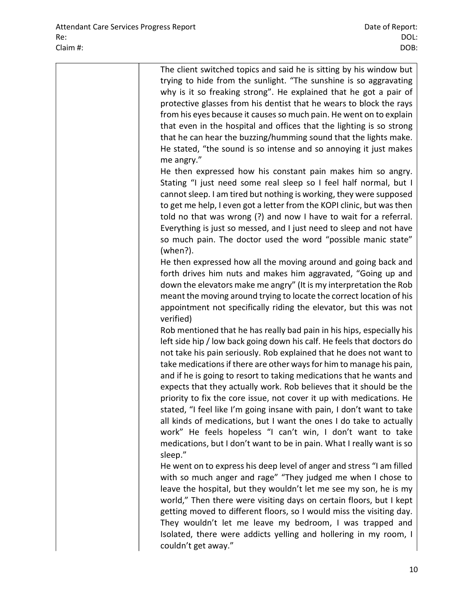| The client switched topics and said he is sitting by his window but<br>trying to hide from the sunlight. "The sunshine is so aggravating<br>why is it so freaking strong". He explained that he got a pair of<br>protective glasses from his dentist that he wears to block the rays<br>from his eyes because it causes so much pain. He went on to explain<br>that even in the hospital and offices that the lighting is so strong<br>that he can hear the buzzing/humming sound that the lights make.<br>He stated, "the sound is so intense and so annoying it just makes<br>me angry."                                                                                                                                                                                                                              |
|-------------------------------------------------------------------------------------------------------------------------------------------------------------------------------------------------------------------------------------------------------------------------------------------------------------------------------------------------------------------------------------------------------------------------------------------------------------------------------------------------------------------------------------------------------------------------------------------------------------------------------------------------------------------------------------------------------------------------------------------------------------------------------------------------------------------------|
| He then expressed how his constant pain makes him so angry.<br>Stating "I just need some real sleep so I feel half normal, but I<br>cannot sleep. I am tired but nothing is working, they were supposed<br>to get me help, I even got a letter from the KOPI clinic, but was then<br>told no that was wrong (?) and now I have to wait for a referral.<br>Everything is just so messed, and I just need to sleep and not have<br>so much pain. The doctor used the word "possible manic state"<br>(when?).                                                                                                                                                                                                                                                                                                              |
| He then expressed how all the moving around and going back and<br>forth drives him nuts and makes him aggravated, "Going up and<br>down the elevators make me angry" (It is my interpretation the Rob<br>meant the moving around trying to locate the correct location of his<br>appointment not specifically riding the elevator, but this was not<br>verified)                                                                                                                                                                                                                                                                                                                                                                                                                                                        |
| Rob mentioned that he has really bad pain in his hips, especially his<br>left side hip / low back going down his calf. He feels that doctors do<br>not take his pain seriously. Rob explained that he does not want to<br>take medications if there are other ways for him to manage his pain,<br>and if he is going to resort to taking medications that he wants and<br>expects that they actually work. Rob believes that it should be the<br>priority to fix the core issue, not cover it up with medications. He<br>stated, "I feel like I'm going insane with pain, I don't want to take<br>all kinds of medications, but I want the ones I do take to actually<br>work" He feels hopeless "I can't win, I don't want to take<br>medications, but I don't want to be in pain. What I really want is so<br>sleep." |
| He went on to express his deep level of anger and stress "I am filled<br>with so much anger and rage" "They judged me when I chose to<br>leave the hospital, but they wouldn't let me see my son, he is my<br>world," Then there were visiting days on certain floors, but I kept<br>getting moved to different floors, so I would miss the visiting day.<br>They wouldn't let me leave my bedroom, I was trapped and<br>Isolated, there were addicts yelling and hollering in my room, I<br>couldn't get away."                                                                                                                                                                                                                                                                                                        |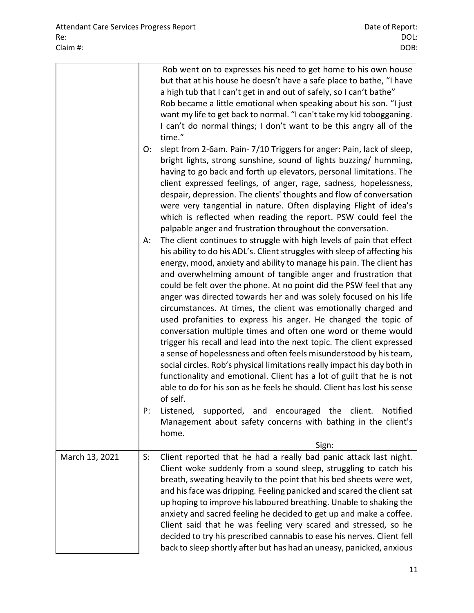|                | Rob went on to expresses his need to get home to his own house<br>but that at his house he doesn't have a safe place to bathe, "I have<br>a high tub that I can't get in and out of safely, so I can't bathe"<br>Rob became a little emotional when speaking about his son. "I just<br>want my life to get back to normal. "I can't take my kid tobogganing.<br>I can't do normal things; I don't want to be this angry all of the<br>time."<br>slept from 2-6am. Pain-7/10 Triggers for anger: Pain, lack of sleep,<br>O:<br>bright lights, strong sunshine, sound of lights buzzing/ humming,<br>having to go back and forth up elevators, personal limitations. The<br>client expressed feelings, of anger, rage, sadness, hopelessness,<br>despair, depression. The clients' thoughts and flow of conversation<br>were very tangential in nature. Often displaying Flight of idea's                                                                                                                                                                                                                                                                                                     |
|----------------|---------------------------------------------------------------------------------------------------------------------------------------------------------------------------------------------------------------------------------------------------------------------------------------------------------------------------------------------------------------------------------------------------------------------------------------------------------------------------------------------------------------------------------------------------------------------------------------------------------------------------------------------------------------------------------------------------------------------------------------------------------------------------------------------------------------------------------------------------------------------------------------------------------------------------------------------------------------------------------------------------------------------------------------------------------------------------------------------------------------------------------------------------------------------------------------------|
|                | which is reflected when reading the report. PSW could feel the<br>palpable anger and frustration throughout the conversation.                                                                                                                                                                                                                                                                                                                                                                                                                                                                                                                                                                                                                                                                                                                                                                                                                                                                                                                                                                                                                                                               |
|                | The client continues to struggle with high levels of pain that effect<br>А:<br>his ability to do his ADL's. Client struggles with sleep of affecting his<br>energy, mood, anxiety and ability to manage his pain. The client has<br>and overwhelming amount of tangible anger and frustration that<br>could be felt over the phone. At no point did the PSW feel that any<br>anger was directed towards her and was solely focused on his life<br>circumstances. At times, the client was emotionally charged and<br>used profanities to express his anger. He changed the topic of<br>conversation multiple times and often one word or theme would<br>trigger his recall and lead into the next topic. The client expressed<br>a sense of hopelessness and often feels misunderstood by his team,<br>social circles. Rob's physical limitations really impact his day both in<br>functionality and emotional. Client has a lot of guilt that he is not<br>able to do for his son as he feels he should. Client has lost his sense<br>of self.<br>Listened, supported, and encouraged the client. Notified<br>P:<br>Management about safety concerns with bathing in the client's<br>home. |
|                | Sign:                                                                                                                                                                                                                                                                                                                                                                                                                                                                                                                                                                                                                                                                                                                                                                                                                                                                                                                                                                                                                                                                                                                                                                                       |
| March 13, 2021 | Client reported that he had a really bad panic attack last night.<br>S:<br>Client woke suddenly from a sound sleep, struggling to catch his<br>breath, sweating heavily to the point that his bed sheets were wet,<br>and his face was dripping. Feeling panicked and scared the client sat<br>up hoping to improve his laboured breathing. Unable to shaking the<br>anxiety and sacred feeling he decided to get up and make a coffee.<br>Client said that he was feeling very scared and stressed, so he<br>decided to try his prescribed cannabis to ease his nerves. Client fell<br>back to sleep shortly after but has had an uneasy, panicked, anxious                                                                                                                                                                                                                                                                                                                                                                                                                                                                                                                                |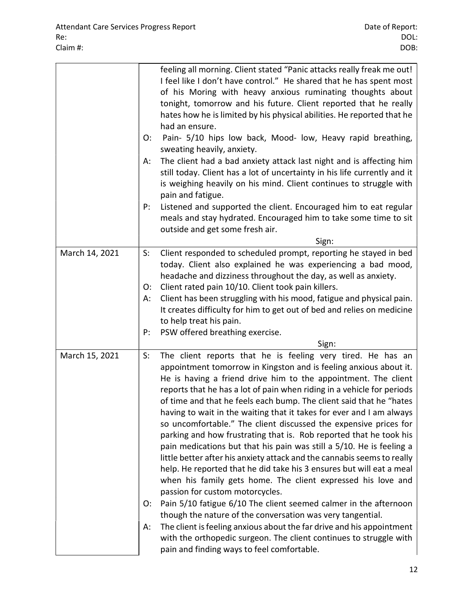|                | feeling all morning. Client stated "Panic attacks really freak me out!<br>I feel like I don't have control." He shared that he has spent most<br>of his Moring with heavy anxious ruminating thoughts about<br>tonight, tomorrow and his future. Client reported that he really<br>hates how he is limited by his physical abilities. He reported that he<br>had an ensure.                                                                                                                                                                                                                                                                                                                                                                                                                                                                                                                                                                                                                                                                                                                                                                                                                                                                             |
|----------------|---------------------------------------------------------------------------------------------------------------------------------------------------------------------------------------------------------------------------------------------------------------------------------------------------------------------------------------------------------------------------------------------------------------------------------------------------------------------------------------------------------------------------------------------------------------------------------------------------------------------------------------------------------------------------------------------------------------------------------------------------------------------------------------------------------------------------------------------------------------------------------------------------------------------------------------------------------------------------------------------------------------------------------------------------------------------------------------------------------------------------------------------------------------------------------------------------------------------------------------------------------|
|                | Pain- 5/10 hips low back, Mood- low, Heavy rapid breathing,<br>O:<br>sweating heavily, anxiety.                                                                                                                                                                                                                                                                                                                                                                                                                                                                                                                                                                                                                                                                                                                                                                                                                                                                                                                                                                                                                                                                                                                                                         |
|                | The client had a bad anxiety attack last night and is affecting him<br>А:<br>still today. Client has a lot of uncertainty in his life currently and it<br>is weighing heavily on his mind. Client continues to struggle with<br>pain and fatigue.                                                                                                                                                                                                                                                                                                                                                                                                                                                                                                                                                                                                                                                                                                                                                                                                                                                                                                                                                                                                       |
|                | Listened and supported the client. Encouraged him to eat regular<br>P:<br>meals and stay hydrated. Encouraged him to take some time to sit<br>outside and get some fresh air.                                                                                                                                                                                                                                                                                                                                                                                                                                                                                                                                                                                                                                                                                                                                                                                                                                                                                                                                                                                                                                                                           |
|                | Sign:                                                                                                                                                                                                                                                                                                                                                                                                                                                                                                                                                                                                                                                                                                                                                                                                                                                                                                                                                                                                                                                                                                                                                                                                                                                   |
| March 14, 2021 | Client responded to scheduled prompt, reporting he stayed in bed<br>$S$ :<br>today. Client also explained he was experiencing a bad mood,<br>headache and dizziness throughout the day, as well as anxiety.                                                                                                                                                                                                                                                                                                                                                                                                                                                                                                                                                                                                                                                                                                                                                                                                                                                                                                                                                                                                                                             |
|                | Client rated pain 10/10. Client took pain killers.<br>O:                                                                                                                                                                                                                                                                                                                                                                                                                                                                                                                                                                                                                                                                                                                                                                                                                                                                                                                                                                                                                                                                                                                                                                                                |
|                | Client has been struggling with his mood, fatigue and physical pain.<br>А:                                                                                                                                                                                                                                                                                                                                                                                                                                                                                                                                                                                                                                                                                                                                                                                                                                                                                                                                                                                                                                                                                                                                                                              |
|                | It creates difficulty for him to get out of bed and relies on medicine<br>to help treat his pain.                                                                                                                                                                                                                                                                                                                                                                                                                                                                                                                                                                                                                                                                                                                                                                                                                                                                                                                                                                                                                                                                                                                                                       |
|                | PSW offered breathing exercise.<br>P:                                                                                                                                                                                                                                                                                                                                                                                                                                                                                                                                                                                                                                                                                                                                                                                                                                                                                                                                                                                                                                                                                                                                                                                                                   |
|                | Sign:                                                                                                                                                                                                                                                                                                                                                                                                                                                                                                                                                                                                                                                                                                                                                                                                                                                                                                                                                                                                                                                                                                                                                                                                                                                   |
| March 15, 2021 | The client reports that he is feeling very tired. He has an<br>$S$ :<br>appointment tomorrow in Kingston and is feeling anxious about it.<br>He is having a friend drive him to the appointment. The client<br>reports that he has a lot of pain when riding in a vehicle for periods<br>of time and that he feels each bump. The client said that he "hates<br>having to wait in the waiting that it takes for ever and I am always<br>so uncomfortable." The client discussed the expensive prices for<br>parking and how frustrating that is. Rob reported that he took his<br>pain medications but that his pain was still a 5/10. He is feeling a<br>little better after his anxiety attack and the cannabis seems to really<br>help. He reported that he did take his 3 ensures but will eat a meal<br>when his family gets home. The client expressed his love and<br>passion for custom motorcycles.<br>Pain 5/10 fatigue 6/10 The client seemed calmer in the afternoon<br>O:<br>though the nature of the conversation was very tangential.<br>The client is feeling anxious about the far drive and his appointment<br>A:<br>with the orthopedic surgeon. The client continues to struggle with<br>pain and finding ways to feel comfortable. |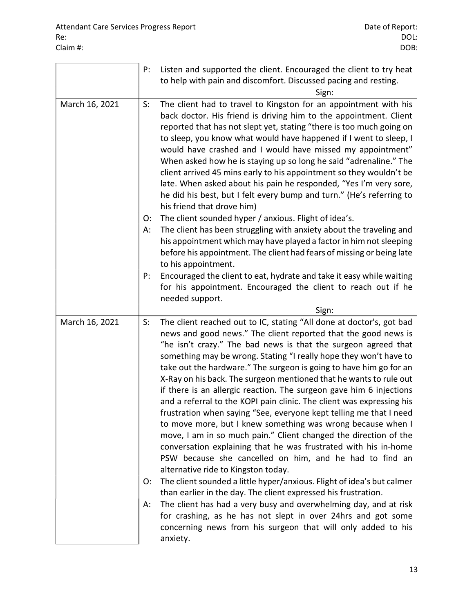$\overline{\phantom{0}}$ 

|                | P:                   | Listen and supported the client. Encouraged the client to try heat<br>to help with pain and discomfort. Discussed pacing and resting.<br>Sign:                                                                                                                                                                                                                                                                                                                                                                                                                                                                                                                                                                                                                                                                                                                                                                                                                                                                                                                                                                                                                                                                                              |
|----------------|----------------------|---------------------------------------------------------------------------------------------------------------------------------------------------------------------------------------------------------------------------------------------------------------------------------------------------------------------------------------------------------------------------------------------------------------------------------------------------------------------------------------------------------------------------------------------------------------------------------------------------------------------------------------------------------------------------------------------------------------------------------------------------------------------------------------------------------------------------------------------------------------------------------------------------------------------------------------------------------------------------------------------------------------------------------------------------------------------------------------------------------------------------------------------------------------------------------------------------------------------------------------------|
| March 16, 2021 | S:<br>O:<br>А:<br>P: | The client had to travel to Kingston for an appointment with his<br>back doctor. His friend is driving him to the appointment. Client<br>reported that has not slept yet, stating "there is too much going on<br>to sleep, you know what would have happened if I went to sleep, I<br>would have crashed and I would have missed my appointment"<br>When asked how he is staying up so long he said "adrenaline." The<br>client arrived 45 mins early to his appointment so they wouldn't be<br>late. When asked about his pain he responded, "Yes I'm very sore,<br>he did his best, but I felt every bump and turn." (He's referring to<br>his friend that drove him)<br>The client sounded hyper / anxious. Flight of idea's.<br>The client has been struggling with anxiety about the traveling and<br>his appointment which may have played a factor in him not sleeping<br>before his appointment. The client had fears of missing or being late<br>to his appointment.<br>Encouraged the client to eat, hydrate and take it easy while waiting<br>for his appointment. Encouraged the client to reach out if he<br>needed support.                                                                                                   |
| March 16, 2021 | S:                   | Sign:<br>The client reached out to IC, stating "All done at doctor's, got bad                                                                                                                                                                                                                                                                                                                                                                                                                                                                                                                                                                                                                                                                                                                                                                                                                                                                                                                                                                                                                                                                                                                                                               |
|                | O:<br>A:             | news and good news." The client reported that the good news is<br>"he isn't crazy." The bad news is that the surgeon agreed that<br>something may be wrong. Stating "I really hope they won't have to<br>take out the hardware." The surgeon is going to have him go for an<br>X-Ray on his back. The surgeon mentioned that he wants to rule out<br>if there is an allergic reaction. The surgeon gave him 6 injections<br>and a referral to the KOPI pain clinic. The client was expressing his<br>frustration when saying "See, everyone kept telling me that I need<br>to move more, but I knew something was wrong because when I<br>move, I am in so much pain." Client changed the direction of the<br>conversation explaining that he was frustrated with his in-home<br>PSW because she cancelled on him, and he had to find an<br>alternative ride to Kingston today.<br>The client sounded a little hyper/anxious. Flight of idea's but calmer<br>than earlier in the day. The client expressed his frustration.<br>The client has had a very busy and overwhelming day, and at risk<br>for crashing, as he has not slept in over 24hrs and got some<br>concerning news from his surgeon that will only added to his<br>anxiety. |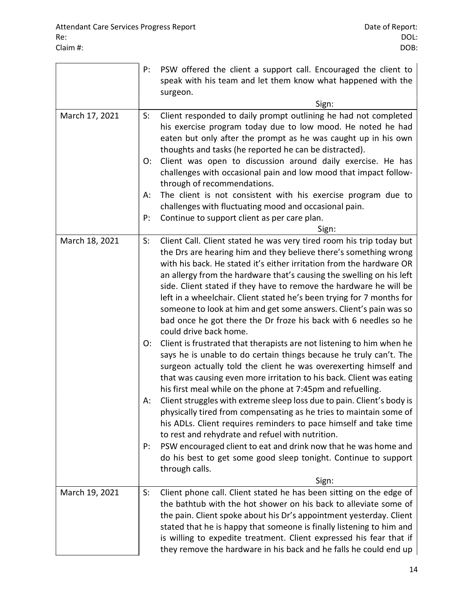|                | P:                      | PSW offered the client a support call. Encouraged the client to<br>speak with his team and let them know what happened with the<br>surgeon.                                                                                                                                                                                                                                                                                                                                                                                                                                                                                                                                                                                                               |
|----------------|-------------------------|-----------------------------------------------------------------------------------------------------------------------------------------------------------------------------------------------------------------------------------------------------------------------------------------------------------------------------------------------------------------------------------------------------------------------------------------------------------------------------------------------------------------------------------------------------------------------------------------------------------------------------------------------------------------------------------------------------------------------------------------------------------|
|                |                         | Sign:                                                                                                                                                                                                                                                                                                                                                                                                                                                                                                                                                                                                                                                                                                                                                     |
| March 17, 2021 | $S$ :<br>O:<br>А:<br>P: | Client responded to daily prompt outlining he had not completed<br>his exercise program today due to low mood. He noted he had<br>eaten but only after the prompt as he was caught up in his own<br>thoughts and tasks (he reported he can be distracted).<br>Client was open to discussion around daily exercise. He has<br>challenges with occasional pain and low mood that impact follow-<br>through of recommendations.<br>The client is not consistent with his exercise program due to<br>challenges with fluctuating mood and occasional pain.<br>Continue to support client as per care plan.                                                                                                                                                    |
|                |                         | Sign:                                                                                                                                                                                                                                                                                                                                                                                                                                                                                                                                                                                                                                                                                                                                                     |
| March 18, 2021 | $S$ :<br>O:             | Client Call. Client stated he was very tired room his trip today but<br>the Drs are hearing him and they believe there's something wrong<br>with his back. He stated it's either irritation from the hardware OR<br>an allergy from the hardware that's causing the swelling on his left<br>side. Client stated if they have to remove the hardware he will be<br>left in a wheelchair. Client stated he's been trying for 7 months for<br>someone to look at him and get some answers. Client's pain was so<br>bad once he got there the Dr froze his back with 6 needles so he<br>could drive back home.<br>Client is frustrated that therapists are not listening to him when he<br>says he is unable to do certain things because he truly can't. The |
|                |                         | surgeon actually told the client he was overexerting himself and<br>that was causing even more irritation to his back. Client was eating                                                                                                                                                                                                                                                                                                                                                                                                                                                                                                                                                                                                                  |
|                | A:                      | his first meal while on the phone at 7:45pm and refuelling.<br>Client struggles with extreme sleep loss due to pain. Client's body is<br>physically tired from compensating as he tries to maintain some of<br>his ADLs. Client requires reminders to pace himself and take time<br>to rest and rehydrate and refuel with nutrition.                                                                                                                                                                                                                                                                                                                                                                                                                      |
|                | P:                      | PSW encouraged client to eat and drink now that he was home and<br>do his best to get some good sleep tonight. Continue to support<br>through calls.                                                                                                                                                                                                                                                                                                                                                                                                                                                                                                                                                                                                      |
|                |                         | Sign:                                                                                                                                                                                                                                                                                                                                                                                                                                                                                                                                                                                                                                                                                                                                                     |
| March 19, 2021 | S:                      | Client phone call. Client stated he has been sitting on the edge of<br>the bathtub with the hot shower on his back to alleviate some of<br>the pain. Client spoke about his Dr's appointment yesterday. Client<br>stated that he is happy that someone is finally listening to him and<br>is willing to expedite treatment. Client expressed his fear that if<br>they remove the hardware in his back and he falls he could end up                                                                                                                                                                                                                                                                                                                        |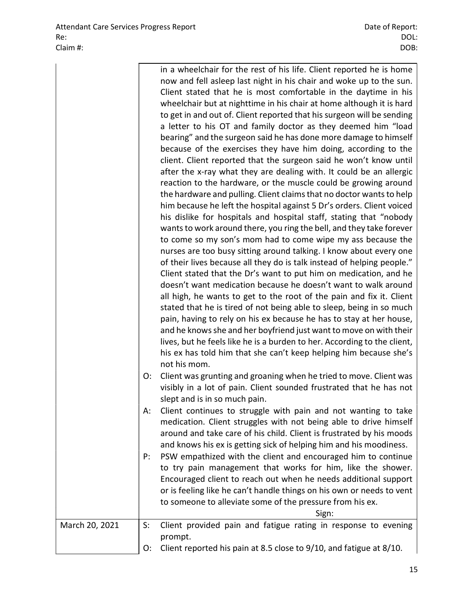|    | in a wheelchair for the rest of his life. Client reported he is home     |  |
|----|--------------------------------------------------------------------------|--|
|    | now and fell asleep last night in his chair and woke up to the sun.      |  |
|    | Client stated that he is most comfortable in the daytime in his          |  |
|    | wheelchair but at nighttime in his chair at home although it is hard     |  |
|    | to get in and out of. Client reported that his surgeon will be sending   |  |
|    | a letter to his OT and family doctor as they deemed him "load            |  |
|    | bearing" and the surgeon said he has done more damage to himself         |  |
|    | because of the exercises they have him doing, according to the           |  |
|    | client. Client reported that the surgeon said he won't know until        |  |
|    | after the x-ray what they are dealing with. It could be an allergic      |  |
|    | reaction to the hardware, or the muscle could be growing around          |  |
|    | the hardware and pulling. Client claims that no doctor wants to help     |  |
|    | him because he left the hospital against 5 Dr's orders. Client voiced    |  |
|    | his dislike for hospitals and hospital staff, stating that "nobody       |  |
|    | wants to work around there, you ring the bell, and they take forever     |  |
|    | to come so my son's mom had to come wipe my ass because the              |  |
|    | nurses are too busy sitting around talking. I know about every one       |  |
|    | of their lives because all they do is talk instead of helping people."   |  |
|    | Client stated that the Dr's want to put him on medication, and he        |  |
|    | doesn't want medication because he doesn't want to walk around           |  |
|    | all high, he wants to get to the root of the pain and fix it. Client     |  |
|    | stated that he is tired of not being able to sleep, being in so much     |  |
|    | pain, having to rely on his ex because he has to stay at her house,      |  |
|    | and he knows she and her boyfriend just want to move on with their       |  |
|    | lives, but he feels like he is a burden to her. According to the client, |  |
|    | his ex has told him that she can't keep helping him because she's        |  |
|    | not his mom.                                                             |  |
| O: | Client was grunting and groaning when he tried to move. Client was       |  |
|    | visibly in a lot of pain. Client sounded frustrated that he has not      |  |
|    | slept and is in so much pain.                                            |  |
| А: | Client continues to struggle with pain and not wanting to take           |  |
|    | medication. Client struggles with not being able to drive himself        |  |
|    | around and take care of his child. Client is frustrated by his moods     |  |
|    | and knows his ex is getting sick of helping him and his moodiness.       |  |
| P: | PSW empathized with the client and encouraged him to continue            |  |
|    | to try nain management that works for him like the shower                |  |

|                |    | and knows his ex is getting sick of helping him and his moodiness.    |
|----------------|----|-----------------------------------------------------------------------|
|                | P: | PSW empathized with the client and encouraged him to continue         |
|                |    | to try pain management that works for him, like the shower.           |
|                |    | Encouraged client to reach out when he needs additional support       |
|                |    | or is feeling like he can't handle things on his own or needs to vent |
|                |    | to someone to alleviate some of the pressure from his ex.             |
|                |    | Sign:                                                                 |
| March 20, 2021 |    | Client provided pain and fatigue rating in response to evening        |
|                |    | prompt.                                                               |

O: Client reported his pain at 8.5 close to 9/10, and fatigue at 8/10.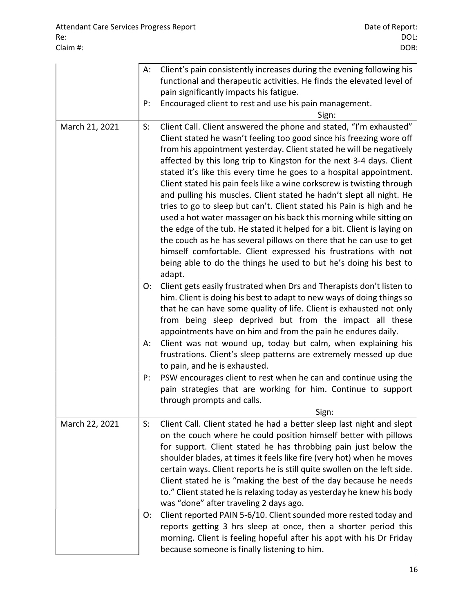|                | А:    | Client's pain consistently increases during the evening following his    |
|----------------|-------|--------------------------------------------------------------------------|
|                |       | functional and therapeutic activities. He finds the elevated level of    |
|                |       | pain significantly impacts his fatigue.                                  |
|                | P:    | Encouraged client to rest and use his pain management.                   |
|                |       | Sign:                                                                    |
| March 21, 2021 | $S$ : | Client Call. Client answered the phone and stated, "I'm exhausted"       |
|                |       | Client stated he wasn't feeling too good since his freezing wore off     |
|                |       | from his appointment yesterday. Client stated he will be negatively      |
|                |       | affected by this long trip to Kingston for the next 3-4 days. Client     |
|                |       | stated it's like this every time he goes to a hospital appointment.      |
|                |       | Client stated his pain feels like a wine corkscrew is twisting through   |
|                |       | and pulling his muscles. Client stated he hadn't slept all night. He     |
|                |       | tries to go to sleep but can't. Client stated his Pain is high and he    |
|                |       | used a hot water massager on his back this morning while sitting on      |
|                |       | the edge of the tub. He stated it helped for a bit. Client is laying on  |
|                |       | the couch as he has several pillows on there that he can use to get      |
|                |       | himself comfortable. Client expressed his frustrations with not          |
|                |       | being able to do the things he used to but he's doing his best to        |
|                |       | adapt.                                                                   |
|                | O:    | Client gets easily frustrated when Drs and Therapists don't listen to    |
|                |       | him. Client is doing his best to adapt to new ways of doing things so    |
|                |       | that he can have some quality of life. Client is exhausted not only      |
|                |       | from being sleep deprived but from the impact all these                  |
|                |       | appointments have on him and from the pain he endures daily.             |
|                | А:    | Client was not wound up, today but calm, when explaining his             |
|                |       | frustrations. Client's sleep patterns are extremely messed up due        |
|                |       | to pain, and he is exhausted.                                            |
|                | P:    | PSW encourages client to rest when he can and continue using the         |
|                |       | pain strategies that are working for him. Continue to support            |
|                |       | through prompts and calls.                                               |
|                |       | Sign:                                                                    |
| March 22, 2021 | $S$ : | Client Call. Client stated he had a better sleep last night and slept    |
|                |       | on the couch where he could position himself better with pillows         |
|                |       | for support. Client stated he has throbbing pain just below the          |
|                |       | shoulder blades, at times it feels like fire (very hot) when he moves    |
|                |       | certain ways. Client reports he is still quite swollen on the left side. |
|                |       | Client stated he is "making the best of the day because he needs         |
|                |       | to." Client stated he is relaxing today as yesterday he knew his body    |
|                |       | was "done" after traveling 2 days ago.                                   |
|                | O:    | Client reported PAIN 5-6/10. Client sounded more rested today and        |
|                |       | reports getting 3 hrs sleep at once, then a shorter period this          |
|                |       | morning. Client is feeling hopeful after his appt with his Dr Friday     |
|                |       | because someone is finally listening to him.                             |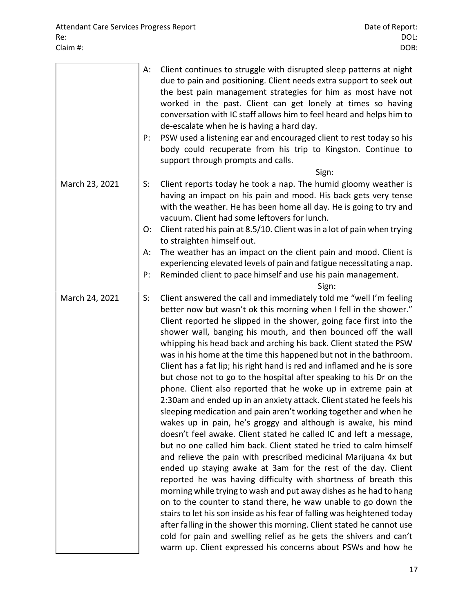Ē

 $\overline{\phantom{0}}$ 

|                | Client continues to struggle with disrupted sleep patterns at night<br>А:<br>due to pain and positioning. Client needs extra support to seek out<br>the best pain management strategies for him as most have not<br>worked in the past. Client can get lonely at times so having<br>conversation with IC staff allows him to feel heard and helps him to<br>de-escalate when he is having a hard day.<br>PSW used a listening ear and encouraged client to rest today so his<br>P:<br>body could recuperate from his trip to Kingston. Continue to<br>support through prompts and calls.<br>Sign:                                                                                                                                                                                                                                                                                                                                                                                                                                                                                                                                                                                                                                                                                                                                                                                                                                                                                                                                                                                                                                                           |
|----------------|-------------------------------------------------------------------------------------------------------------------------------------------------------------------------------------------------------------------------------------------------------------------------------------------------------------------------------------------------------------------------------------------------------------------------------------------------------------------------------------------------------------------------------------------------------------------------------------------------------------------------------------------------------------------------------------------------------------------------------------------------------------------------------------------------------------------------------------------------------------------------------------------------------------------------------------------------------------------------------------------------------------------------------------------------------------------------------------------------------------------------------------------------------------------------------------------------------------------------------------------------------------------------------------------------------------------------------------------------------------------------------------------------------------------------------------------------------------------------------------------------------------------------------------------------------------------------------------------------------------------------------------------------------------|
| March 23, 2021 | Client reports today he took a nap. The humid gloomy weather is<br>S:                                                                                                                                                                                                                                                                                                                                                                                                                                                                                                                                                                                                                                                                                                                                                                                                                                                                                                                                                                                                                                                                                                                                                                                                                                                                                                                                                                                                                                                                                                                                                                                       |
|                | having an impact on his pain and mood. His back gets very tense<br>with the weather. He has been home all day. He is going to try and<br>vacuum. Client had some leftovers for lunch.                                                                                                                                                                                                                                                                                                                                                                                                                                                                                                                                                                                                                                                                                                                                                                                                                                                                                                                                                                                                                                                                                                                                                                                                                                                                                                                                                                                                                                                                       |
|                | Client rated his pain at 8.5/10. Client was in a lot of pain when trying<br>O:                                                                                                                                                                                                                                                                                                                                                                                                                                                                                                                                                                                                                                                                                                                                                                                                                                                                                                                                                                                                                                                                                                                                                                                                                                                                                                                                                                                                                                                                                                                                                                              |
|                | to straighten himself out.                                                                                                                                                                                                                                                                                                                                                                                                                                                                                                                                                                                                                                                                                                                                                                                                                                                                                                                                                                                                                                                                                                                                                                                                                                                                                                                                                                                                                                                                                                                                                                                                                                  |
|                | The weather has an impact on the client pain and mood. Client is<br>А:<br>experiencing elevated levels of pain and fatigue necessitating a nap.                                                                                                                                                                                                                                                                                                                                                                                                                                                                                                                                                                                                                                                                                                                                                                                                                                                                                                                                                                                                                                                                                                                                                                                                                                                                                                                                                                                                                                                                                                             |
|                | Reminded client to pace himself and use his pain management.<br>P:                                                                                                                                                                                                                                                                                                                                                                                                                                                                                                                                                                                                                                                                                                                                                                                                                                                                                                                                                                                                                                                                                                                                                                                                                                                                                                                                                                                                                                                                                                                                                                                          |
|                | Sign:                                                                                                                                                                                                                                                                                                                                                                                                                                                                                                                                                                                                                                                                                                                                                                                                                                                                                                                                                                                                                                                                                                                                                                                                                                                                                                                                                                                                                                                                                                                                                                                                                                                       |
| March 24, 2021 | Client answered the call and immediately told me "well I'm feeling<br>$S$ :<br>better now but wasn't ok this morning when I fell in the shower."<br>Client reported he slipped in the shower, going face first into the<br>shower wall, banging his mouth, and then bounced off the wall<br>whipping his head back and arching his back. Client stated the PSW<br>was in his home at the time this happened but not in the bathroom.<br>Client has a fat lip; his right hand is red and inflamed and he is sore<br>but chose not to go to the hospital after speaking to his Dr on the<br>phone. Client also reported that he woke up in extreme pain at<br>2:30am and ended up in an anxiety attack. Client stated he feels his<br>sleeping medication and pain aren't working together and when he<br>wakes up in pain, he's groggy and although is awake, his mind<br>doesn't feel awake. Client stated he called IC and left a message,<br>but no one called him back. Client stated he tried to calm himself<br>and relieve the pain with prescribed medicinal Marijuana 4x but<br>ended up staying awake at 3am for the rest of the day. Client<br>reported he was having difficulty with shortness of breath this<br>morning while trying to wash and put away dishes as he had to hang<br>on to the counter to stand there, he waw unable to go down the<br>stairs to let his son inside as his fear of falling was heightened today<br>after falling in the shower this morning. Client stated he cannot use<br>cold for pain and swelling relief as he gets the shivers and can't<br>warm up. Client expressed his concerns about PSWs and how he |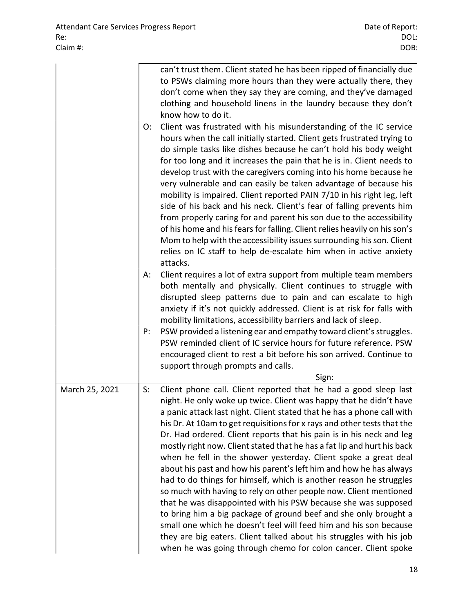|                | O:<br>А:<br>P: | can't trust them. Client stated he has been ripped of financially due<br>to PSWs claiming more hours than they were actually there, they<br>don't come when they say they are coming, and they've damaged<br>clothing and household linens in the laundry because they don't<br>know how to do it.<br>Client was frustrated with his misunderstanding of the IC service<br>hours when the call initially started. Client gets frustrated trying to<br>do simple tasks like dishes because he can't hold his body weight<br>for too long and it increases the pain that he is in. Client needs to<br>develop trust with the caregivers coming into his home because he<br>very vulnerable and can easily be taken advantage of because his<br>mobility is impaired. Client reported PAIN 7/10 in his right leg, left<br>side of his back and his neck. Client's fear of falling prevents him<br>from properly caring for and parent his son due to the accessibility<br>of his home and his fears for falling. Client relies heavily on his son's<br>Mom to help with the accessibility issues surrounding his son. Client<br>relies on IC staff to help de-escalate him when in active anxiety<br>attacks.<br>Client requires a lot of extra support from multiple team members<br>both mentally and physically. Client continues to struggle with<br>disrupted sleep patterns due to pain and can escalate to high<br>anxiety if it's not quickly addressed. Client is at risk for falls with<br>mobility limitations, accessibility barriers and lack of sleep.<br>PSW provided a listening ear and empathy toward client's struggles. |
|----------------|----------------|------------------------------------------------------------------------------------------------------------------------------------------------------------------------------------------------------------------------------------------------------------------------------------------------------------------------------------------------------------------------------------------------------------------------------------------------------------------------------------------------------------------------------------------------------------------------------------------------------------------------------------------------------------------------------------------------------------------------------------------------------------------------------------------------------------------------------------------------------------------------------------------------------------------------------------------------------------------------------------------------------------------------------------------------------------------------------------------------------------------------------------------------------------------------------------------------------------------------------------------------------------------------------------------------------------------------------------------------------------------------------------------------------------------------------------------------------------------------------------------------------------------------------------------------------------------------------------------------------------------------------------------|
|                |                | PSW reminded client of IC service hours for future reference. PSW<br>encouraged client to rest a bit before his son arrived. Continue to<br>support through prompts and calls.<br>Sign:                                                                                                                                                                                                                                                                                                                                                                                                                                                                                                                                                                                                                                                                                                                                                                                                                                                                                                                                                                                                                                                                                                                                                                                                                                                                                                                                                                                                                                                  |
| March 25, 2021 | $S$ :          | Client phone call. Client reported that he had a good sleep last<br>night. He only woke up twice. Client was happy that he didn't have<br>a panic attack last night. Client stated that he has a phone call with<br>his Dr. At 10am to get requisitions for x rays and other tests that the<br>Dr. Had ordered. Client reports that his pain is in his neck and leg<br>mostly right now. Client stated that he has a fat lip and hurt his back<br>when he fell in the shower yesterday. Client spoke a great deal<br>about his past and how his parent's left him and how he has always<br>had to do things for himself, which is another reason he struggles<br>so much with having to rely on other people now. Client mentioned<br>that he was disappointed with his PSW because she was supposed<br>to bring him a big package of ground beef and she only brought a<br>small one which he doesn't feel will feed him and his son because<br>they are big eaters. Client talked about his struggles with his job<br>when he was going through chemo for colon cancer. Client spoke                                                                                                                                                                                                                                                                                                                                                                                                                                                                                                                                                   |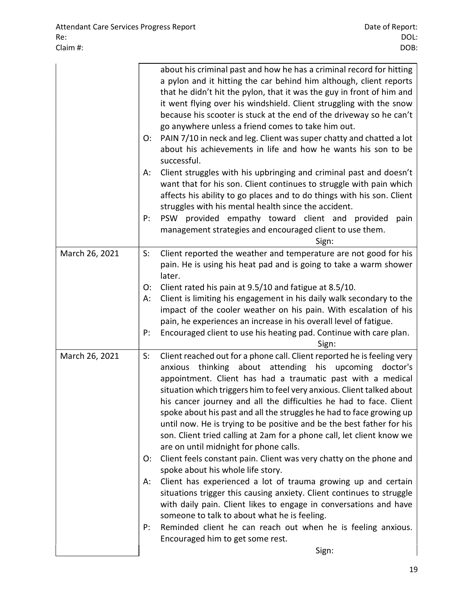|                | about his criminal past and how he has a criminal record for hitting<br>a pylon and it hitting the car behind him although, client reports<br>that he didn't hit the pylon, that it was the guy in front of him and<br>it went flying over his windshield. Client struggling with the snow<br>because his scooter is stuck at the end of the driveway so he can't<br>go anywhere unless a friend comes to take him out.<br>PAIN 7/10 in neck and leg. Client was super chatty and chatted a lot<br>O:<br>about his achievements in life and how he wants his son to be<br>successful.<br>Client struggles with his upbringing and criminal past and doesn't<br>А:<br>want that for his son. Client continues to struggle with pain which<br>affects his ability to go places and to do things with his son. Client<br>struggles with his mental health since the accident.<br>PSW provided empathy toward client and provided<br>P:<br>pain                                                                                                                                                                                                   |
|----------------|-----------------------------------------------------------------------------------------------------------------------------------------------------------------------------------------------------------------------------------------------------------------------------------------------------------------------------------------------------------------------------------------------------------------------------------------------------------------------------------------------------------------------------------------------------------------------------------------------------------------------------------------------------------------------------------------------------------------------------------------------------------------------------------------------------------------------------------------------------------------------------------------------------------------------------------------------------------------------------------------------------------------------------------------------------------------------------------------------------------------------------------------------|
|                | management strategies and encouraged client to use them.<br>Sign:                                                                                                                                                                                                                                                                                                                                                                                                                                                                                                                                                                                                                                                                                                                                                                                                                                                                                                                                                                                                                                                                             |
| March 26, 2021 | Client reported the weather and temperature are not good for his<br>$S$ :<br>pain. He is using his heat pad and is going to take a warm shower<br>later.                                                                                                                                                                                                                                                                                                                                                                                                                                                                                                                                                                                                                                                                                                                                                                                                                                                                                                                                                                                      |
|                |                                                                                                                                                                                                                                                                                                                                                                                                                                                                                                                                                                                                                                                                                                                                                                                                                                                                                                                                                                                                                                                                                                                                               |
|                | Client rated his pain at 9.5/10 and fatigue at 8.5/10.<br>O:                                                                                                                                                                                                                                                                                                                                                                                                                                                                                                                                                                                                                                                                                                                                                                                                                                                                                                                                                                                                                                                                                  |
|                | Client is limiting his engagement in his daily walk secondary to the<br>А:<br>impact of the cooler weather on his pain. With escalation of his<br>pain, he experiences an increase in his overall level of fatigue.                                                                                                                                                                                                                                                                                                                                                                                                                                                                                                                                                                                                                                                                                                                                                                                                                                                                                                                           |
|                | Encouraged client to use his heating pad. Continue with care plan.<br>P:<br>Sign:                                                                                                                                                                                                                                                                                                                                                                                                                                                                                                                                                                                                                                                                                                                                                                                                                                                                                                                                                                                                                                                             |
| March 26, 2021 | Client reached out for a phone call. Client reported he is feeling very<br>$S$ :<br>anxious thinking about attending his<br>upcoming<br>doctor's<br>appointment. Client has had a traumatic past with a medical<br>situation which triggers him to feel very anxious. Client talked about<br>his cancer journey and all the difficulties he had to face. Client<br>spoke about his past and all the struggles he had to face growing up<br>until now. He is trying to be positive and be the best father for his<br>son. Client tried calling at 2am for a phone call, let client know we<br>are on until midnight for phone calls.<br>Client feels constant pain. Client was very chatty on the phone and<br>O:<br>spoke about his whole life story.<br>Client has experienced a lot of trauma growing up and certain<br>A:<br>situations trigger this causing anxiety. Client continues to struggle<br>with daily pain. Client likes to engage in conversations and have<br>someone to talk to about what he is feeling.<br>Reminded client he can reach out when he is feeling anxious.<br>P:<br>Encouraged him to get some rest.<br>Sign: |
|                |                                                                                                                                                                                                                                                                                                                                                                                                                                                                                                                                                                                                                                                                                                                                                                                                                                                                                                                                                                                                                                                                                                                                               |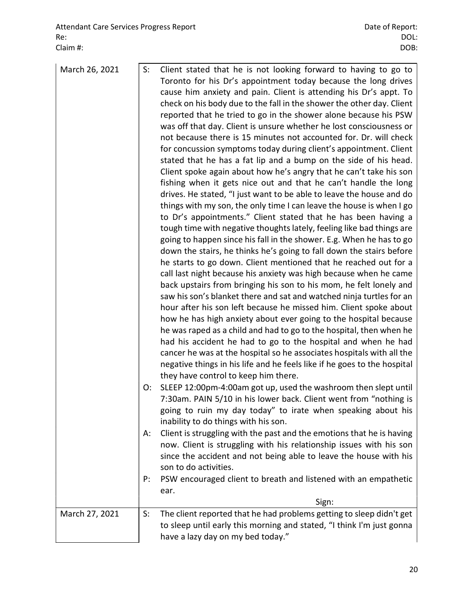| March 26, 2021 | S:<br>O:<br>А:<br>P: | Client stated that he is not looking forward to having to go to<br>Toronto for his Dr's appointment today because the long drives<br>cause him anxiety and pain. Client is attending his Dr's appt. To<br>check on his body due to the fall in the shower the other day. Client<br>reported that he tried to go in the shower alone because his PSW<br>was off that day. Client is unsure whether he lost consciousness or<br>not because there is 15 minutes not accounted for. Dr. will check<br>for concussion symptoms today during client's appointment. Client<br>stated that he has a fat lip and a bump on the side of his head.<br>Client spoke again about how he's angry that he can't take his son<br>fishing when it gets nice out and that he can't handle the long<br>drives. He stated, "I just want to be able to leave the house and do<br>things with my son, the only time I can leave the house is when I go<br>to Dr's appointments." Client stated that he has been having a<br>tough time with negative thoughts lately, feeling like bad things are<br>going to happen since his fall in the shower. E.g. When he has to go<br>down the stairs, he thinks he's going to fall down the stairs before<br>he starts to go down. Client mentioned that he reached out for a<br>call last night because his anxiety was high because when he came<br>back upstairs from bringing his son to his mom, he felt lonely and<br>saw his son's blanket there and sat and watched ninja turtles for an<br>hour after his son left because he missed him. Client spoke about<br>how he has high anxiety about ever going to the hospital because<br>he was raped as a child and had to go to the hospital, then when he<br>had his accident he had to go to the hospital and when he had<br>cancer he was at the hospital so he associates hospitals with all the<br>negative things in his life and he feels like if he goes to the hospital<br>they have control to keep him there.<br>SLEEP 12:00pm-4:00am got up, used the washroom then slept until<br>7:30am. PAIN 5/10 in his lower back. Client went from "nothing is<br>going to ruin my day today" to irate when speaking about his<br>inability to do things with his son.<br>Client is struggling with the past and the emotions that he is having<br>now. Client is struggling with his relationship issues with his son<br>since the accident and not being able to leave the house with his<br>son to do activities.<br>PSW encouraged client to breath and listened with an empathetic<br>ear. |
|----------------|----------------------|----------------------------------------------------------------------------------------------------------------------------------------------------------------------------------------------------------------------------------------------------------------------------------------------------------------------------------------------------------------------------------------------------------------------------------------------------------------------------------------------------------------------------------------------------------------------------------------------------------------------------------------------------------------------------------------------------------------------------------------------------------------------------------------------------------------------------------------------------------------------------------------------------------------------------------------------------------------------------------------------------------------------------------------------------------------------------------------------------------------------------------------------------------------------------------------------------------------------------------------------------------------------------------------------------------------------------------------------------------------------------------------------------------------------------------------------------------------------------------------------------------------------------------------------------------------------------------------------------------------------------------------------------------------------------------------------------------------------------------------------------------------------------------------------------------------------------------------------------------------------------------------------------------------------------------------------------------------------------------------------------------------------------------------------------------------------------------------------------------------------------------------------------------------------------------------------------------------------------------------------------------------------------------------------------------------------------------------------------------------------------------------------------------------------------------------------------------------------------------------------------------------------------------------------------------------------------|
|                |                      | Sign:                                                                                                                                                                                                                                                                                                                                                                                                                                                                                                                                                                                                                                                                                                                                                                                                                                                                                                                                                                                                                                                                                                                                                                                                                                                                                                                                                                                                                                                                                                                                                                                                                                                                                                                                                                                                                                                                                                                                                                                                                                                                                                                                                                                                                                                                                                                                                                                                                                                                                                                                                                      |
| March 27, 2021 | S:                   | The client reported that he had problems getting to sleep didn't get<br>to sleep until early this morning and stated, "I think I'm just gonna<br>have a lazy day on my bed today."                                                                                                                                                                                                                                                                                                                                                                                                                                                                                                                                                                                                                                                                                                                                                                                                                                                                                                                                                                                                                                                                                                                                                                                                                                                                                                                                                                                                                                                                                                                                                                                                                                                                                                                                                                                                                                                                                                                                                                                                                                                                                                                                                                                                                                                                                                                                                                                         |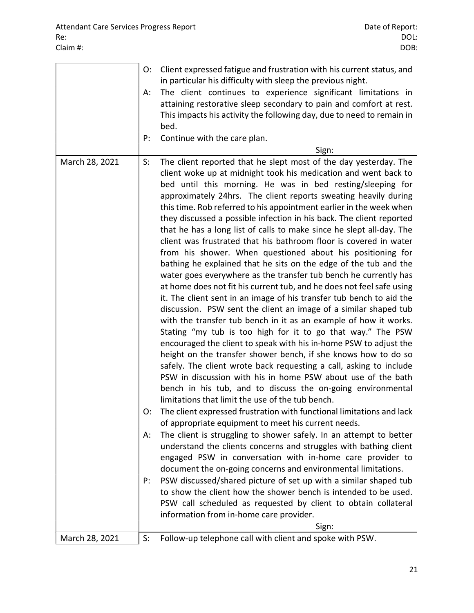|                | O:<br>А:<br>P:          | Client expressed fatigue and frustration with his current status, and<br>in particular his difficulty with sleep the previous night.<br>The client continues to experience significant limitations in<br>attaining restorative sleep secondary to pain and comfort at rest.<br>This impacts his activity the following day, due to need to remain in<br>bed.<br>Continue with the care plan.<br>Sign:                                                                                                                                                                                                                                                                                                                                                                                                                                                                                                                                                                                                                                                                                                                                                                                                                                                                                                                                                                                                                                                                                                                                                                                                                                                                                                                                                                                                                                                                                                                                                                                                                                                                                                                                                                                                |
|----------------|-------------------------|------------------------------------------------------------------------------------------------------------------------------------------------------------------------------------------------------------------------------------------------------------------------------------------------------------------------------------------------------------------------------------------------------------------------------------------------------------------------------------------------------------------------------------------------------------------------------------------------------------------------------------------------------------------------------------------------------------------------------------------------------------------------------------------------------------------------------------------------------------------------------------------------------------------------------------------------------------------------------------------------------------------------------------------------------------------------------------------------------------------------------------------------------------------------------------------------------------------------------------------------------------------------------------------------------------------------------------------------------------------------------------------------------------------------------------------------------------------------------------------------------------------------------------------------------------------------------------------------------------------------------------------------------------------------------------------------------------------------------------------------------------------------------------------------------------------------------------------------------------------------------------------------------------------------------------------------------------------------------------------------------------------------------------------------------------------------------------------------------------------------------------------------------------------------------------------------------|
| March 28, 2021 | $S$ :<br>O:<br>A:<br>P: | The client reported that he slept most of the day yesterday. The<br>client woke up at midnight took his medication and went back to<br>bed until this morning. He was in bed resting/sleeping for<br>approximately 24hrs. The client reports sweating heavily during<br>this time. Rob referred to his appointment earlier in the week when<br>they discussed a possible infection in his back. The client reported<br>that he has a long list of calls to make since he slept all-day. The<br>client was frustrated that his bathroom floor is covered in water<br>from his shower. When questioned about his positioning for<br>bathing he explained that he sits on the edge of the tub and the<br>water goes everywhere as the transfer tub bench he currently has<br>at home does not fit his current tub, and he does not feel safe using<br>it. The client sent in an image of his transfer tub bench to aid the<br>discussion. PSW sent the client an image of a similar shaped tub<br>with the transfer tub bench in it as an example of how it works.<br>Stating "my tub is too high for it to go that way." The PSW<br>encouraged the client to speak with his in-home PSW to adjust the<br>height on the transfer shower bench, if she knows how to do so<br>safely. The client wrote back requesting a call, asking to include<br>PSW in discussion with his in home PSW about use of the bath<br>bench in his tub, and to discuss the on-going environmental<br>limitations that limit the use of the tub bench.<br>The client expressed frustration with functional limitations and lack<br>of appropriate equipment to meet his current needs.<br>The client is struggling to shower safely. In an attempt to better<br>understand the clients concerns and struggles with bathing client<br>engaged PSW in conversation with in-home care provider to<br>document the on-going concerns and environmental limitations.<br>PSW discussed/shared picture of set up with a similar shaped tub<br>to show the client how the shower bench is intended to be used.<br>PSW call scheduled as requested by client to obtain collateral<br>information from in-home care provider.<br>Sign: |
| March 28, 2021 | $S$ :                   | Follow-up telephone call with client and spoke with PSW.                                                                                                                                                                                                                                                                                                                                                                                                                                                                                                                                                                                                                                                                                                                                                                                                                                                                                                                                                                                                                                                                                                                                                                                                                                                                                                                                                                                                                                                                                                                                                                                                                                                                                                                                                                                                                                                                                                                                                                                                                                                                                                                                             |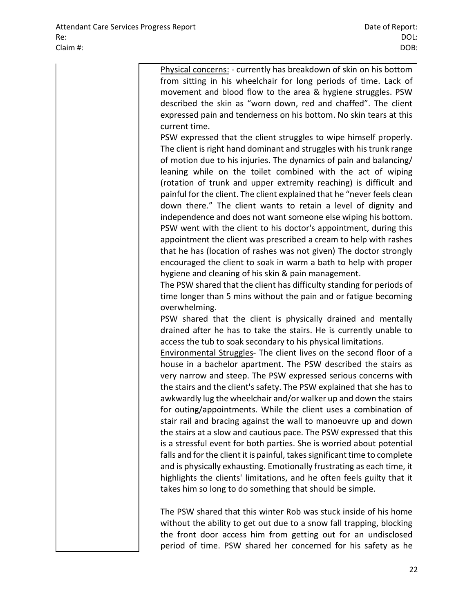Physical concerns: - currently has breakdown of skin on his bottom from sitting in his wheelchair for long periods of time. Lack of movement and blood flow to the area & hygiene struggles. PSW described the skin as "worn down, red and chaffed". The client expressed pain and tenderness on his bottom. No skin tears at this current time.

PSW expressed that the client struggles to wipe himself properly. The client is right hand dominant and struggles with his trunk range of motion due to his injuries. The dynamics of pain and balancing/ leaning while on the toilet combined with the act of wiping (rotation of trunk and upper extremity reaching) is difficult and painful for the client. The client explained that he "never feels clean down there." The client wants to retain a level of dignity and independence and does not want someone else wiping his bottom. PSW went with the client to his doctor's appointment, during this appointment the client was prescribed a cream to help with rashes that he has (location of rashes was not given) The doctor strongly encouraged the client to soak in warm a bath to help with proper hygiene and cleaning of his skin & pain management.

The PSW shared that the client has difficulty standing for periods of time longer than 5 mins without the pain and or fatigue becoming overwhelming.

PSW shared that the client is physically drained and mentally drained after he has to take the stairs. He is currently unable to access the tub to soak secondary to his physical limitations.

Environmental Struggles- The client lives on the second floor of a house in a bachelor apartment. The PSW described the stairs as very narrow and steep. The PSW expressed serious concerns with the stairs and the client's safety. The PSW explained that she has to awkwardly lug the wheelchair and/or walker up and down the stairs for outing/appointments. While the client uses a combination of stair rail and bracing against the wall to manoeuvre up and down the stairs at a slow and cautious pace. The PSW expressed that this is a stressful event for both parties. She is worried about potential falls and for the client it is painful, takes significant time to complete and is physically exhausting. Emotionally frustrating as each time, it highlights the clients' limitations, and he often feels guilty that it takes him so long to do something that should be simple.

The PSW shared that this winter Rob was stuck inside of his home without the ability to get out due to a snow fall trapping, blocking the front door access him from getting out for an undisclosed period of time. PSW shared her concerned for his safety as he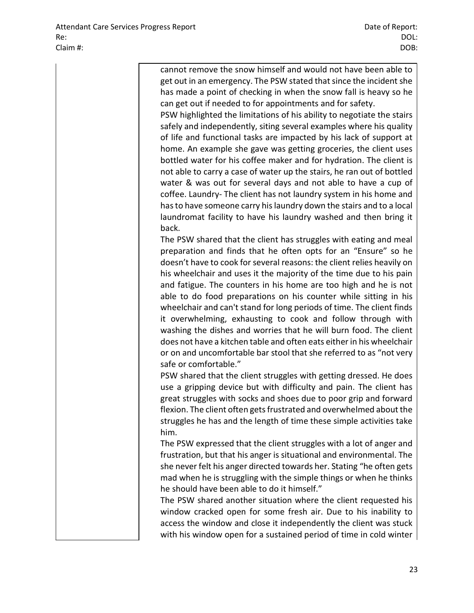cannot remove the snow himself and would not have been able to get out in an emergency. The PSW stated that since the incident she has made a point of checking in when the snow fall is heavy so he can get out if needed to for appointments and for safety.

PSW highlighted the limitations of his ability to negotiate the stairs safely and independently, siting several examples where his quality of life and functional tasks are impacted by his lack of support at home. An example she gave was getting groceries, the client uses bottled water for his coffee maker and for hydration. The client is not able to carry a case of water up the stairs, he ran out of bottled water & was out for several days and not able to have a cup of coffee. Laundry- The client has not laundry system in his home and has to have someone carry his laundry down the stairs and to a local laundromat facility to have his laundry washed and then bring it back.

The PSW shared that the client has struggles with eating and meal preparation and finds that he often opts for an "Ensure" so he doesn't have to cook for several reasons: the client relies heavily on his wheelchair and uses it the majority of the time due to his pain and fatigue. The counters in his home are too high and he is not able to do food preparations on his counter while sitting in his wheelchair and can't stand for long periods of time. The client finds it overwhelming, exhausting to cook and follow through with washing the dishes and worries that he will burn food. The client does not have a kitchen table and often eats either in his wheelchair or on and uncomfortable bar stool that she referred to as "not very safe or comfortable."

PSW shared that the client struggles with getting dressed. He does use a gripping device but with difficulty and pain. The client has great struggles with socks and shoes due to poor grip and forward flexion. The client often gets frustrated and overwhelmed about the struggles he has and the length of time these simple activities take him.

The PSW expressed that the client struggles with a lot of anger and frustration, but that his anger is situational and environmental. The she never felt his anger directed towards her. Stating "he often gets mad when he is struggling with the simple things or when he thinks he should have been able to do it himself."

The PSW shared another situation where the client requested his window cracked open for some fresh air. Due to his inability to access the window and close it independently the client was stuck with his window open for a sustained period of time in cold winter